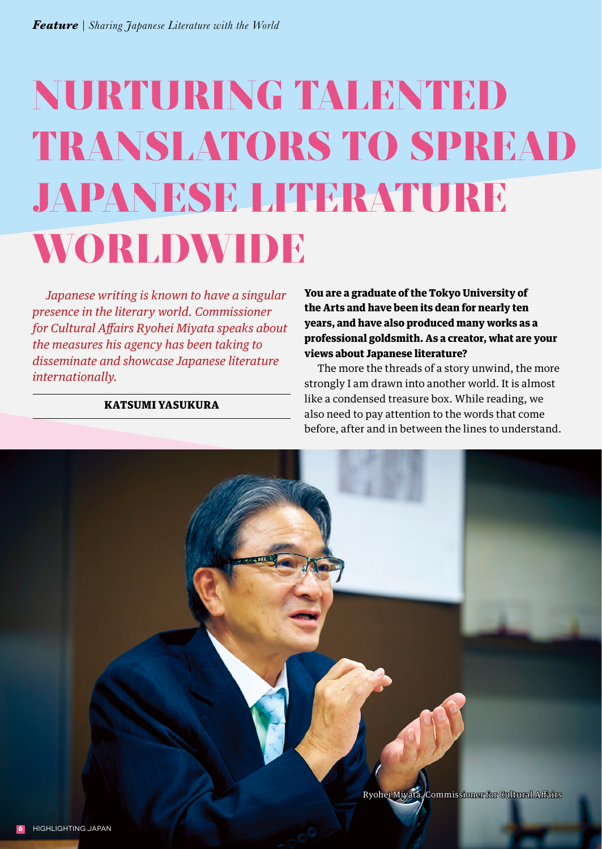## NURTURING TALENTED TRANSLATORS TO SPREAD JAPANESE LITERATURE WORLDWIDE

*Japanese writing is known to have a singular presence in the literary world. Commissioner for Cultural Affairs Ryohei Miyata speaks about the measures his agency has been taking to disseminate and showcase Japanese literature internationally.*

## KATSUMI YASUKURA

You are a graduate of the Tokyo University of the Arts and have been its dean for nearly ten years, and have also produced many works as a professional goldsmith. As a creator, what are your views about Japanese literature?

The more the threads of a story unwind, the more strongly I am drawn into another world. It is almost like a condensed treasure box. While reading, we also need to pay attention to the words that come before, after and in between the lines to understand.